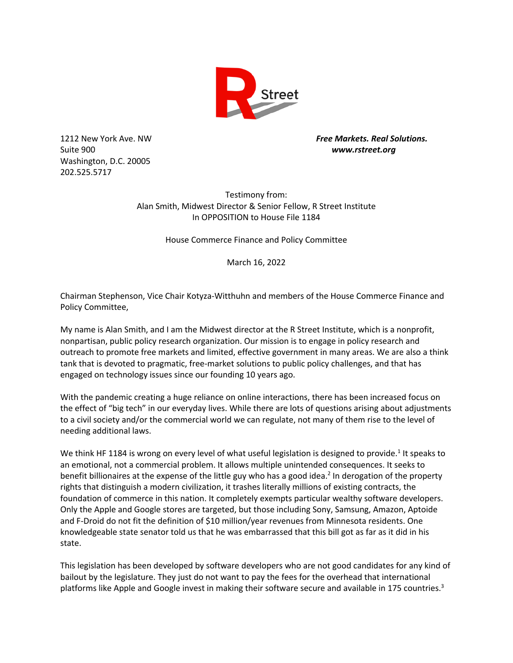

Suite 900 *www.rstreet.org* Washington, D.C. 20005 202.525.5717

1212 New York Ave. NW *Free Markets. Real Solutions.*

Testimony from: Alan Smith, Midwest Director & Senior Fellow, R Street Institute In OPPOSITION to House File 1184

House Commerce Finance and Policy Committee

March 16, 2022

Chairman Stephenson, Vice Chair Kotyza-Witthuhn and members of the House Commerce Finance and Policy Committee,

My name is Alan Smith, and I am the Midwest director at the R Street Institute, which is a nonprofit, nonpartisan, public policy research organization. Our mission is to engage in policy research and outreach to promote free markets and limited, effective government in many areas. We are also a think tank that is devoted to pragmatic, free-market solutions to public policy challenges, and that has engaged on technology issues since our founding 10 years ago.

With the pandemic creating a huge reliance on online interactions, there has been increased focus on the effect of "big tech" in our everyday lives. While there are lots of questions arising about adjustments to a civil society and/or the commercial world we can regulate, not many of them rise to the level of needing additional laws.

We think HF 1184 is wrong on every level of what useful legislation is designed to provide.<sup>1</sup> It speaks to an emotional, not a commercial problem. It allows multiple unintended consequences. It seeks to benefit billionaires at the expense of the little guy who has a good idea.<sup>2</sup> In derogation of the property rights that distinguish a modern civilization, it trashes literally millions of existing contracts, the foundation of commerce in this nation. It completely exempts particular wealthy software developers. Only the Apple and Google stores are targeted, but those including Sony, Samsung, Amazon, Aptoide and F-Droid do not fit the definition of \$10 million/year revenues from Minnesota residents. One knowledgeable state senator told us that he was embarrassed that this bill got as far as it did in his state.

This legislation has been developed by software developers who are not good candidates for any kind of bailout by the legislature. They just do not want to pay the fees for the overhead that international platforms like Apple and Google invest in making their software secure and available in 175 countries.<sup>3</sup>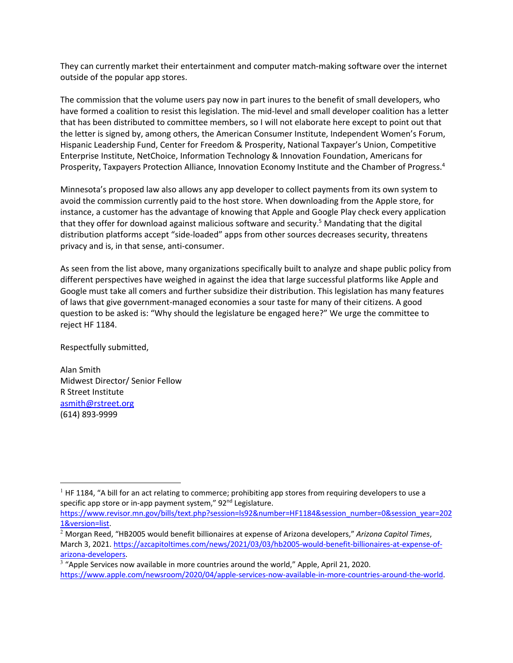They can currently market their entertainment and computer match-making software over the internet outside of the popular app stores.

The commission that the volume users pay now in part inures to the benefit of small developers, who have formed a coalition to resist this legislation. The mid-level and small developer coalition has a letter that has been distributed to committee members, so I will not elaborate here except to point out that the letter is signed by, among others, the American Consumer Institute, Independent Women's Forum, Hispanic Leadership Fund, Center for Freedom & Prosperity, National Taxpayer's Union, Competitive Enterprise Institute, NetChoice, Information Technology & Innovation Foundation, Americans for Prosperity, Taxpayers Protection Alliance, Innovation Economy Institute and the Chamber of Progress.4

Minnesota's proposed law also allows any app developer to collect payments from its own system to avoid the commission currently paid to the host store. When downloading from the Apple store, for instance, a customer has the advantage of knowing that Apple and Google Play check every application that they offer for download against malicious software and security.<sup>5</sup> Mandating that the digital distribution platforms accept "side-loaded" apps from other sources decreases security, threatens privacy and is, in that sense, anti-consumer.

As seen from the list above, many organizations specifically built to analyze and shape public policy from different perspectives have weighed in against the idea that large successful platforms like Apple and Google must take all comers and further subsidize their distribution. This legislation has many features of laws that give government-managed economies a sour taste for many of their citizens. A good question to be asked is: "Why should the legislature be engaged here?" We urge the committee to reject HF 1184.

Respectfully submitted,

Alan Smith Midwest Director/ Senior Fellow R Street Institute asmith@rstreet.org (614) 893-9999

 $<sup>1</sup>$  HF 1184, "A bill for an act relating to commerce; prohibiting app stores from requiring developers to use a</sup> specific app store or in-app payment system," 92<sup>nd</sup> Legislature.

https://www.revisor.mn.gov/bills/text.php?session=ls92&number=HF1184&session\_number=0&session\_year=202 1&version=list.

<sup>2</sup> Morgan Reed, "HB2005 would benefit billionaires at expense of Arizona developers," *Arizona Capitol Times*, March 3, 2021. https://azcapitoltimes.com/news/2021/03/03/hb2005-would-benefit-billionaires-at-expense-ofarizona-developers.

<sup>&</sup>lt;sup>3</sup> "Apple Services now available in more countries around the world," Apple, April 21, 2020. https://www.apple.com/newsroom/2020/04/apple-services-now-available-in-more-countries-around-the-world.